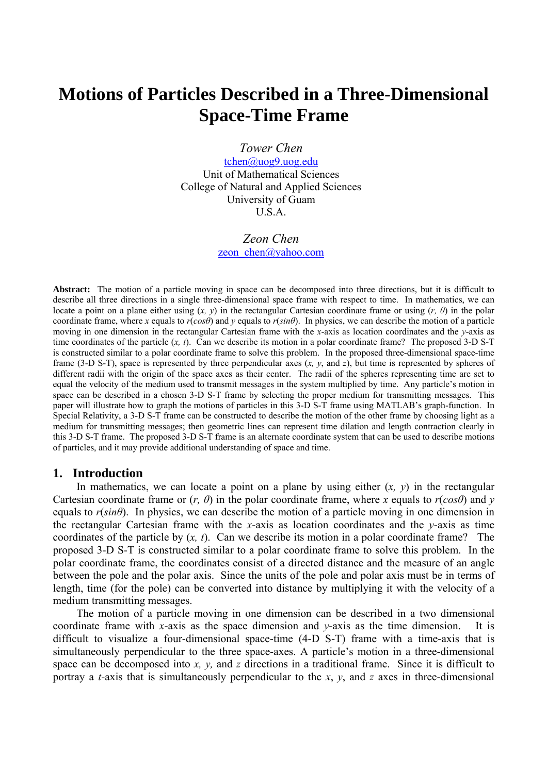# **Motions of Particles Described in a Three-Dimensional Space-Time Frame**

*Tower Chen* 

[tchen@uog9.uog.edu](mailto:tchen@uog9.uog.edu) Unit of Mathematical Sciences College of Natural and Applied Sciences University of Guam U.S.A.

# *Zeon Chen* zeon chen@yahoo.com

**Abstract:** The motion of a particle moving in space can be decomposed into three directions, but it is difficult to describe all three directions in a single three-dimensional space frame with respect to time. In mathematics, we can locate a point on a plane either using  $(x, y)$  in the rectangular Cartesian coordinate frame or using  $(r, \theta)$  in the polar coordinate frame, where *x* equals to  $r(cos\theta)$  and *y* equals to  $r(sin\theta)$ . In physics, we can describe the motion of a particle moving in one dimension in the rectangular Cartesian frame with the *x*-axis as location coordinates and the *y*-axis as time coordinates of the particle (*x, t*). Can we describe its motion in a polar coordinate frame? The proposed 3-D S-T is constructed similar to a polar coordinate frame to solve this problem. In the proposed three-dimensional space-time frame (3-D S-T), space is represented by three perpendicular axes (*x, y*, and *z*), but time is represented by spheres of different radii with the origin of the space axes as their center. The radii of the spheres representing time are set to equal the velocity of the medium used to transmit messages in the system multiplied by time. Any particle's motion in space can be described in a chosen 3-D S-T frame by selecting the proper medium for transmitting messages. This paper will illustrate how to graph the motions of particles in this 3-D S-T frame using MATLAB's graph-function. In Special Relativity, a 3-D S-T frame can be constructed to describe the motion of the other frame by choosing light as a medium for transmitting messages; then geometric lines can represent time dilation and length contraction clearly in this 3-D S-T frame. The proposed 3-D S-T frame is an alternate coordinate system that can be used to describe motions of particles, and it may provide additional understanding of space and time.

#### **1. Introduction**

In mathematics, we can locate a point on a plane by using either  $(x, y)$  in the rectangular Cartesian coordinate frame or  $(r, \theta)$  in the polar coordinate frame, where x equals to  $r(cos\theta)$  and v equals to  $r(\sin\theta)$ . In physics, we can describe the motion of a particle moving in one dimension in the rectangular Cartesian frame with the *x*-axis as location coordinates and the *y*-axis as time coordinates of the particle by (*x, t*). Can we describe its motion in a polar coordinate frame? The proposed 3-D S-T is constructed similar to a polar coordinate frame to solve this problem. In the polar coordinate frame, the coordinates consist of a directed distance and the measure of an angle between the pole and the polar axis. Since the units of the pole and polar axis must be in terms of length, time (for the pole) can be converted into distance by multiplying it with the velocity of a medium transmitting messages.

The motion of a particle moving in one dimension can be described in a two dimensional coordinate frame with *x*-axis as the space dimension and *y*-axis as the time dimension. It is difficult to visualize a four-dimensional space-time (4-D S-T) frame with a time-axis that is simultaneously perpendicular to the three space-axes. A particle's motion in a three-dimensional space can be decomposed into *x, y,* and *z* directions in a traditional frame. Since it is difficult to portray a *t-*axis that is simultaneously perpendicular to the *x*, *y*, and *z* axes in three-dimensional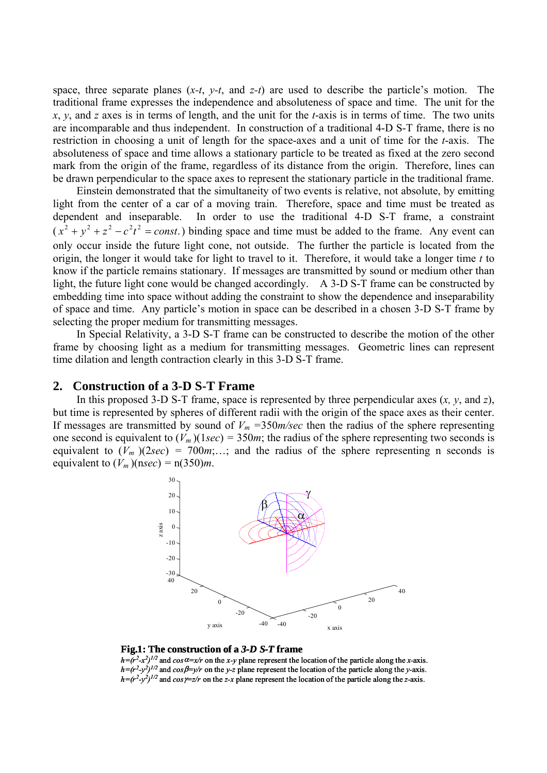space, three separate planes (*x-t*, *y-t*, and *z-t*) are used to describe the particle's motion. The traditional frame expresses the independence and absoluteness of space and time. The unit for the *x*, *y*, and *z* axes is in terms of length, and the unit for the *t*-axis is in terms of time. The two units are incomparable and thus independent. In construction of a traditional 4-D S-T frame, there is no restriction in choosing a unit of length for the space-axes and a unit of time for the *t*-axis. The absoluteness of space and time allows a stationary particle to be treated as fixed at the zero second mark from the origin of the frame, regardless of its distance from the origin. Therefore, lines can be drawn perpendicular to the space axes to represent the stationary particle in the traditional frame.

Einstein demonstrated that the simultaneity of two events is relative, not absolute, by emitting light from the center of a car of a moving train. Therefore, space and time must be treated as dependent and inseparable. In order to use the traditional 4-D S-T frame, a constraint  $(x^2 + y^2 + z^2 - c^2t^2) = const.$ ) binding space and time must be added to the frame. Any event can only occur inside the future light cone, not outside. The further the particle is located from the origin, the longer it would take for light to travel to it. Therefore, it would take a longer time *t* to know if the particle remains stationary. If messages are transmitted by sound or medium other than light, the future light cone would be changed accordingly. A 3-D S-T frame can be constructed by embedding time into space without adding the constraint to show the dependence and inseparability of space and time. Any particle's motion in space can be described in a chosen 3-D S-T frame by selecting the proper medium for transmitting messages.

In Special Relativity, a 3-D S-T frame can be constructed to describe the motion of the other frame by choosing light as a medium for transmitting messages. Geometric lines can represent time dilation and length contraction clearly in this 3-D S-T frame.

In this proposed 3-D S-T frame, space is represented by three perpendicular axes (*x, y*, and *z*), but time is represented by spheres of different radii with the origin of the space axes as their center. If messages are transmitted by sound of  $V_m = 350m/sec$  then the radius of the sphere representing one second is equivalent to  $(V_m)(1sec) = 350m$ ; the radius of the sphere representing two seconds is equivalent to  $(V_m)(2sec) = 700m; \dots$ ; and the radius of the sphere representing n seconds is equivalent to  $(V_m)(nsec) = n(350)m$ .



#### **Fig.1: The construction of a** *3-D S-T* **frame**

 $h=(r^2-x^2)^{1/2}$  and  $\cos \alpha = x/r$  on the *x*-y plane represent the location of the particle along the *x*-axis.  $h=(r^2-y^2)^{1/2}$  and  $cos\beta=y/r$  on the *y*-z plane represent the location of the particle along the *y*-axis.  $h = (r^2 - y^2)^{1/2}$  and  $cos\gamma = z/r$  on the *z*-x plane represent the location of the particle along the *z*-axis.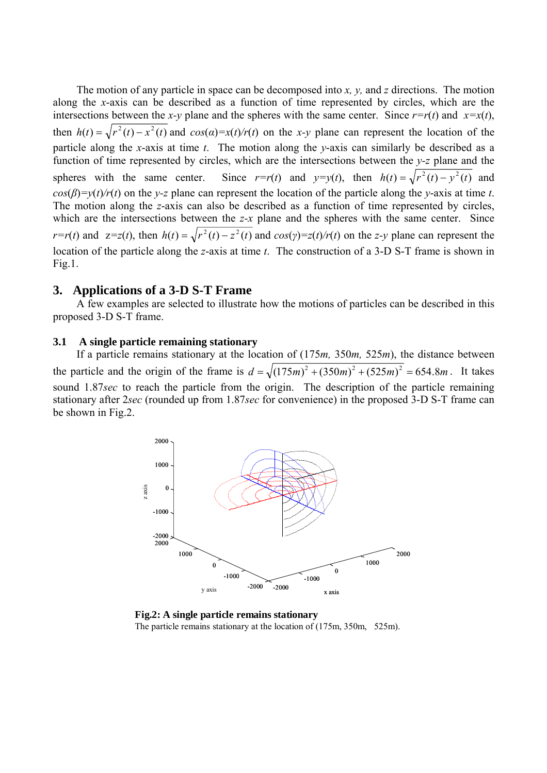The motion of any particle in space can be decomposed into *x, y,* and *z* directions. The motion along the *x*-axis can be described as a function of time represented by circles, which are the intersections between the *x*-*y* plane and the spheres with the same center. Since  $r=r(t)$  and  $x=x(t)$ , then  $h(t) = \sqrt{r^2(t) - x^2(t)}$  and  $cos(\alpha) = x(t)/r(t)$  on the *x*-*y* plane can represent the location of the particle along the *x*-axis at time *t*. The motion along the *y*-axis can similarly be described as a function of time represented by circles, which are the intersections between the *y-z* plane and the spheres with the same center. Since  $r=r(t)$  and  $y=y(t)$ , then  $h(t) = \sqrt{r^2(t) - y^2(t)}$  and  $cos(\beta)=y(t)/r(t)$  on the *y-z* plane can represent the location of the particle along the *y*-axis at time *t*. The motion along the *z*-axis can also be described as a function of time represented by circles, which are the intersections between the *z*-*x* plane and the spheres with the same center. Since  $r=r(t)$  and  $z=z(t)$ , then  $h(t)=\sqrt{r^2(t)-z^2(t)}$  and  $cos(y)=z(t)/r(t)$  on the z-y plane can represent the location of the particle along the *z*-axis at time *t*. The construction of a 3-D S-T frame is shown in Fig.1.

# **3. Applications of a 3-D S-T Frame**

A few examples are selected to illustrate how the motions of particles can be described in this proposed 3-D S-T frame.

#### **3.1 A single particle remaining stationary**

If a particle remains stationary at the location of (175*m,* 350*m,* 525*m*), the distance between the particle and the origin of the frame is  $d = \sqrt{(175m)^2 + (350m)^2 + (525m)^2} = 654.8m$ . It takes sound 1.87*sec* to reach the particle from the origin. The description of the particle remaining stationary after 2*sec* (rounded up from 1.87*sec* for convenience) in the proposed 3-D S-T frame can be shown in Fig.2.



**Fig.2: A single particle remains stationary** The particle remains stationary at the location of (175m, 350m, 525m).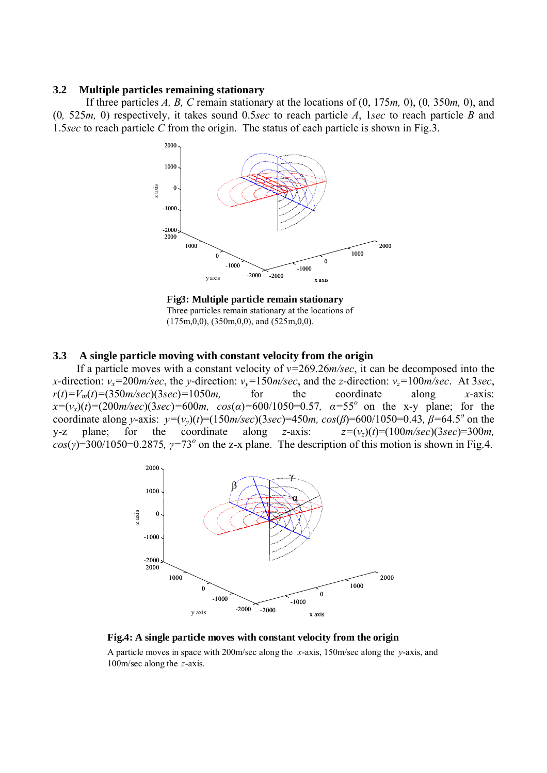#### **3.2 Multiple particles remaining stationary**

If three particles *A, B, C* remain stationary at the locations of (0, 175*m,* 0), (0*,* 350*m,* 0), and (0*,* 525*m,* 0) respectively, it takes sound 0.5*sec* to reach particle *A*, 1*sec* to reach particle *B* and 1.5*sec* to reach particle *C* from the origin. The status of each particle is shown in Fig.3.



**Fig3: Multiple particle remain stationary** Three particles remain stationary at the locations of  $(175m,0,0)$ ,  $(350m,0,0)$ , and  $(525m,0,0)$ .

#### **3.3 A single particle moving with constant velocity from the origin**

If a particle moves with a constant velocity of *v=*269.26*m/sec*, it can be decomposed into the *x*-direction:  $v_x=200$ *m/sec*, the *y*-direction:  $v_y=150$ *m/sec*, and the *z*-direction:  $v_z=100$ *m/sec*. At 3*sec*,  $r(t) = V_m(t) = (350 \text{m/sec})(3 \text{sec}) = 1050 \text{m}$ , for the coordinate along *x*-axis:  $x=(v_x)(t)=(200m/sec)(3sec)=600m$ ,  $cos(\alpha)=600/1050=0.57$ ,  $\alpha=55^{\circ}$  on the x-y plane; for the coordinate along *y*-axis:  $y=(v_y)(t) = (150m/sec)(3sec) = 450m$ ,  $cos(\beta) = 600/1050 = 0.43$ ,  $\beta = 64.5^{\circ}$  on the y-z plane; for the coordinate along *z*-axis:  $z=(v_z)(t)=(100m/sec)(3sec)=300m$ ,  $cos(y) = 300/1050 = 0.2875$ ,  $\gamma = 73^\circ$  on the z-x plane. The description of this motion is shown in Fig.4.





A particle moves in space with 200m/sec along the *x*-axis, 150m/sec along the *y*-axis, and 100m/sec along the *z*-axis.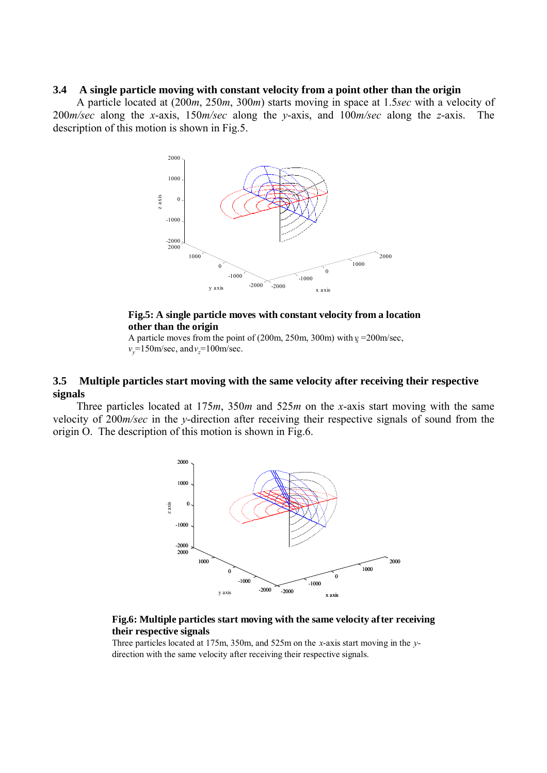#### **3.4 A single particle moving with constant velocity from a point other than the origin**

A particle located at (200*m*, 250*m*, 300*m*) starts moving in space at 1.5*sec* with a velocity of 200*m/sec* along the *x*-axis, 150*m/sec* along the *y*-axis, and 100*m/sec* along the *z*-axis. The description of this motion is shown in Fig.5.



# **Fig.5: A single particle moves with constant velocity from a location other than the origin**

A particle moves from the point of  $(200m, 250m, 300m)$  with  $\gamma = 200m/sec$ ,  $v_y=150$ m/sec, and  $v_z=100$ m/sec.

## **3.5 Multiple particles start moving with the same velocity after receiving their respective signals**

Three particles located at 175*m*, 350*m* and 525*m* on the *x*-axis start moving with the same velocity of 200*m/sec* in the *y*-direction after receiving their respective signals of sound from the origin O. The description of this motion is shown in Fig.6.



#### **Fig.6: Multiple particles start moving with the same velocity after receiving their respective signals**

Three particles located at 175m, 350m, and 525m on the *x*-axis start moving in the *y*direction with the same velocity after receiving their respective signals.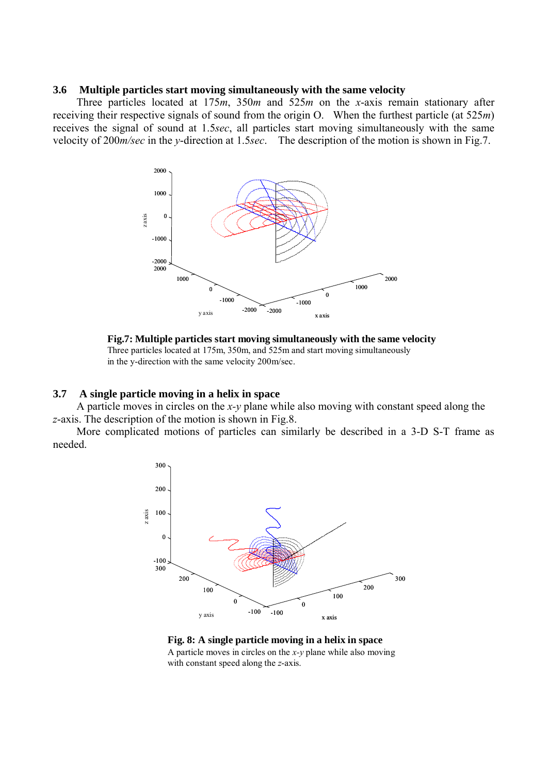#### **3.6 Multiple particles start moving simultaneously with the same velocity**

Three particles located at 175*m*, 350*m* and 525*m* on the *x*-axis remain stationary after receiving their respective signals of sound from the origin O. When the furthest particle (at 525*m*) receives the signal of sound at 1.5*sec*, all particles start moving simultaneously with the same velocity of 200*m/sec* in the *y*-direction at 1.5*sec*. The description of the motion is shown in Fig.7.



**Fig.7: Multiple particles start moving simultaneously with the same velocity** Three particles located at 175m, 350m, and 525m and start moving simultaneously in the y-direction with the same velocity 200m/sec.

#### **3.7 A single particle moving in a helix in space**

A particle moves in circles on the *x-y* plane while also moving with constant speed along the *z*-axis. The description of the motion is shown in Fig.8.

More complicated motions of particles can similarly be described in a 3-D S-T frame as needed.



#### **Fig. 8: A single particle moving in a helix in space** A particle moves in circles on the *x-y* plane while also moving

with constant speed along the *z*-axis.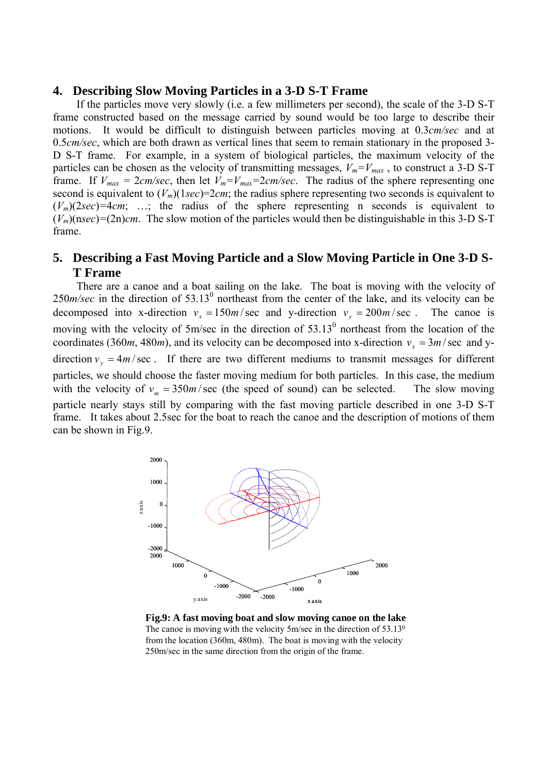### **4. Describing Slow Moving Particles in a 3-D S-T Frame**

If the particles move very slowly (i.e. a few millimeters per second), the scale of the 3-D S-T frame constructed based on the message carried by sound would be too large to describe their motions. It would be difficult to distinguish between particles moving at 0.3*cm/sec* and at 0.5*cm/sec*, which are both drawn as vertical lines that seem to remain stationary in the proposed 3- D S-T frame. For example, in a system of biological particles, the maximum velocity of the particles can be chosen as the velocity of transmitting messages,  $V_m = V_{max}$ , to construct a 3-D S-T frame. If  $V_{max} = 2cm/sec$ , then let  $V_m = V_{max} = 2cm/sec$ . The radius of the sphere representing one second is equivalent to  $(V_m)(1sec)=2cm$ ; the radius sphere representing two seconds is equivalent to  $(V_m)(2sec) = 4cm$ ; ...; the radius of the sphere representing n seconds is equivalent to  $(V_m)(nsec) = (2n)$ *cm*. The slow motion of the particles would then be distinguishable in this 3-D S-T frame.

# **5. Describing a Fast Moving Particle and a Slow Moving Particle in One 3-D S-T Frame**

There are a canoe and a boat sailing on the lake. The boat is moving with the velocity of  $250$ *m/sec* in the direction of  $53.13^{\circ}$  northeast from the center of the lake, and its velocity can be decomposed into x-direction  $v_x = 150m/sec$  and y-direction  $v_y = 200m/sec$ . The canoe is moving with the velocity of 5m/sec in the direction of  $53.13^{\circ}$  northeast from the location of the coordinates (360*m*, 480*m*), and its velocity can be decomposed into x-direction  $v_x = 3m / \text{sec}$  and ydirection  $v_y = 4m/sec$ . If there are two different mediums to transmit messages for different particles, we should choose the faster moving medium for both particles. In this case, the medium with the velocity of  $v_m = 350m/sec$  (the speed of sound) can be selected. The slow moving particle nearly stays still by comparing with the fast moving particle described in one 3-D S-T frame. It takes about 2.5sec for the boat to reach the canoe and the description of motions of them can be shown in Fig.9.



**Fig.9: A fast moving boat and slow moving canoe on the lake** The canoe is moving with the velocity 5m/sec in the direction of 53.13<sup>0</sup> from the location (360m, 480m). The boat is moving with the velocity 250m/sec in the same direction from the origin of the frame.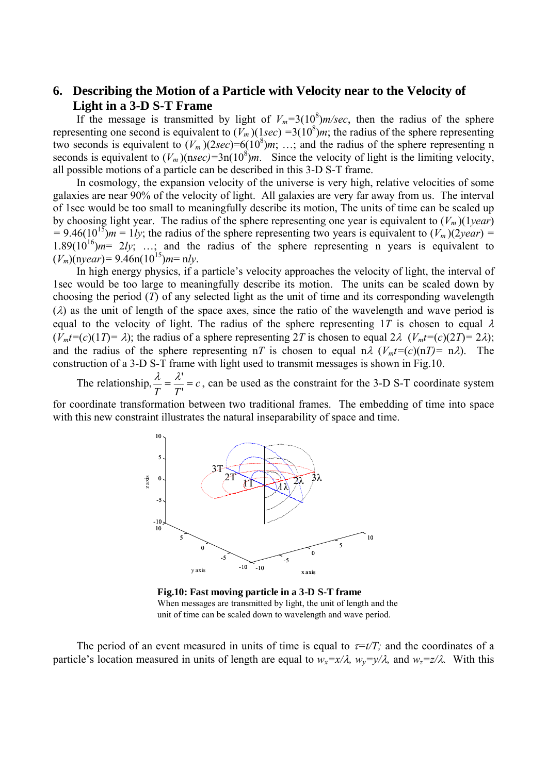# **6. Describing the Motion of a Particle with Velocity near to the Velocity of Light in a 3-D S-T Frame**

If the message is transmitted by light of  $V_m=3(10^8)m/sec$ , then the radius of the sphere representing one second is equivalent to  $(V_m)(1sec) = 3(10^8)m$ ; the radius of the sphere representing two seconds is equivalent to  $(V_m)(2\sec) = 6(10^8)m$ ; ...; and the radius of the sphere representing n seconds is equivalent to  $(V_m)(nsec) = 3n(10^8)m$ . Since the velocity of light is the limiting velocity, all possible motions of a particle can be described in this 3-D S-T frame.

In cosmology, the expansion velocity of the universe is very high, relative velocities of some galaxies are near 90% of the velocity of light. All galaxies are very far away from us. The interval of 1sec would be too small to meaningfully describe its motion, The units of time can be scaled up by choosing light year. The radius of the sphere representing one year is equivalent to  $(V_m)(1 \text{ year})$  $= 9.46(10^{15})$ *m* = 1*ly*; the radius of the sphere representing two years is equivalent to  $(V_m)(2year) =$ 1.89( $10^{16}$ ) $m=2ly$ ; ...; and the radius of the sphere representing n years is equivalent to  $(V_m)(\text{n} \text{year}) = 9.46 \text{n} (10^{15}) m = \text{n} l \text{y}.$ 

In high energy physics, if a particle's velocity approaches the velocity of light, the interval of 1sec would be too large to meaningfully describe its motion. The units can be scaled down by choosing the period (*T*) of any selected light as the unit of time and its corresponding wavelength  $(\lambda)$  as the unit of length of the space axes, since the ratio of the wavelength and wave period is equal to the velocity of light. The radius of the sphere representing 1T is chosen to equal  $\lambda$  $(V_m t = (c)(1T) = \lambda)$ ; the radius of a sphere representing 2*T* is chosen to equal 2 $\lambda$  ( $V_m t = (c)(2T) = 2\lambda$ ); and the radius of the sphere representing nT is chosen to equal n $\lambda$  ( $V_m t = (c)(nT) = n\lambda$ ). The construction of a 3-D S-T frame with light used to transmit messages is shown in Fig.10.

The relationship,  $\frac{\lambda}{T} = \frac{\lambda'}{T} = c$ , can be used as the constraint for the 3-D S-T coordinate system

for coordinate transformation between two traditional frames. The embedding of time into space with this new constraint illustrates the natural inseparability of space and time.



**Fig.10: Fast moving particle in a 3-D S-T frame** When messages are transmitted by light, the unit of length and the unit of time can be scaled down to wavelength and wave period.

The period of an event measured in units of time is equal to  $\tau = t/T$ ; and the coordinates of a particle's location measured in units of length are equal to  $w_r=x/\lambda$ ,  $w_v=v/\lambda$ , and  $w_z=z/\lambda$ . With this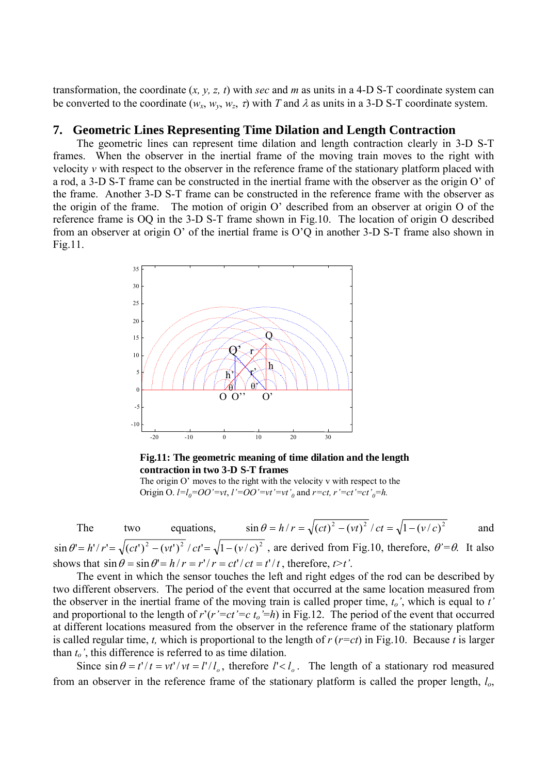transformation, the coordinate  $(x, y, z, t)$  with *sec* and *m* as units in a 4-D S-T coordinate system can be converted to the coordinate  $(w_x, w_y, w_z, \tau)$  with T and  $\lambda$  as units in a 3-D S-T coordinate system.

### **7. Geometric Lines Representing Time Dilation and Length Contraction**

The geometric lines can represent time dilation and length contraction clearly in 3-D S-T frames. When the observer in the inertial frame of the moving train moves to the right with velocity *v* with respect to the observer in the reference frame of the stationary platform placed with a rod, a 3-D S-T frame can be constructed in the inertial frame with the observer as the origin O' of the frame. Another 3-D S-T frame can be constructed in the reference frame with the observer as the origin of the frame. The motion of origin O' described from an observer at origin O of the reference frame is OQ in the 3-D S-T frame shown in Fig.10. The location of origin O described from an observer at origin O' of the inertial frame is O'Q in another 3-D S-T frame also shown in Fig.11.



#### **Fig.11: The geometric meaning of time dilation and the length contraction in two 3-D S-T frames**

The origin O' moves to the right with the velocity v with respect to the Origin O.  $l=l_0=OO'=vt$ ,  $l'=OO'=vt'=vt'_{0}$  and  $r=ct$ ,  $r'=ct'=ct'_{0}=h$ .

The two equations, 
$$
\sin \theta = h/r = \sqrt{(ct)^2 - (vt)^2}/ct = \sqrt{1 - (v/c)^2}
$$
 and

 $\sin \theta' = h'/r' = \sqrt{(ct')^2 - (vt')^2 / ct'} = \sqrt{1 - (v/c)^2}$ , are derived from Fig.10, therefore,  $\theta' = \theta$ . It also shows that  $\sin \theta = \sin \theta' = h/r = r'/r = ct'/ct = t'/t$ , therefore,  $t > t'$ .

The event in which the sensor touches the left and right edges of the rod can be described by two different observers. The period of the event that occurred at the same location measured from the observer in the inertial frame of the moving train is called proper time, *to'*, which is equal to *t'* and proportional to the length of  $r'(r'=ct'=c t_0'=h)$  in Fig.12. The period of the event that occurred at different locations measured from the observer in the reference frame of the stationary platform is called regular time, *t,* which is proportional to the length of *r* (*r=ct*) in Fig.10. Because *t* is larger than *to'*, this difference is referred to as time dilation.

Since  $\sin \theta = t'/t = vt'/vt = l'/l_o$ , therefore  $l' < l_o$ . The length of a stationary rod measured from an observer in the reference frame of the stationary platform is called the proper length, *lo*,